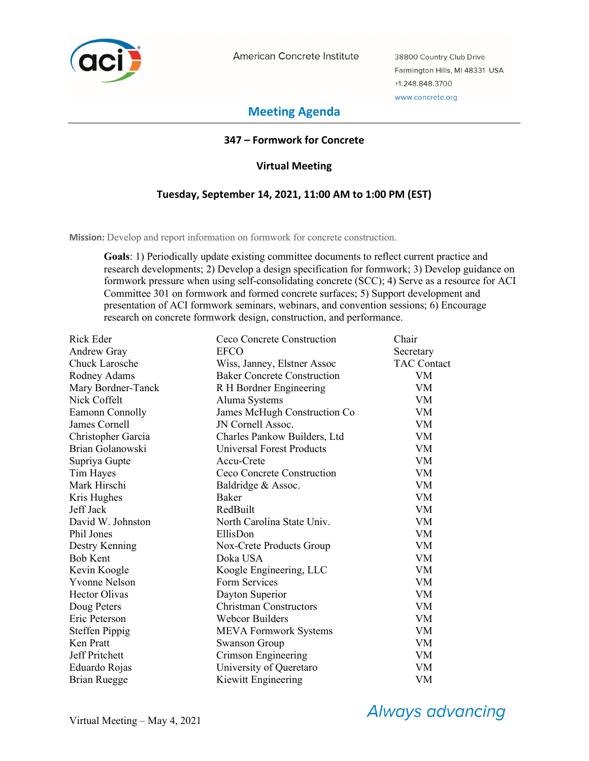

American Concrete Institute

38800 Country Club Drive Farmington Hills, MI 48331 USA +1.248.848.3700 www.concrete.org

# **Meeting Agenda**

# **347 – Formwork for Concrete**

# **Virtual Meeting**

# **Tuesday, September 14, 2021, 11:00 AM to 1:00 PM (EST)**

**Mission:** Develop and report information on formwork for concrete construction.

**Goals**: 1) Periodically update existing committee documents to reflect current practice and research developments; 2) Develop a design specification for formwork; 3) Develop guidance on formwork pressure when using self-consolidating concrete (SCC); 4) Serve as a resource for ACI Committee 301 on formwork and formed concrete surfaces; 5) Support development and presentation of ACI formwork seminars, webinars, and convention sessions; 6) Encourage research on concrete formwork design, construction, and performance.

| Rick Eder             | Ceco Concrete Construction         | Chair              |
|-----------------------|------------------------------------|--------------------|
| Andrew Gray           | <b>EFCO</b>                        | Secretary          |
| <b>Chuck Larosche</b> | Wiss, Janney, Elstner Assoc        | <b>TAC Contact</b> |
| Rodney Adams          | <b>Baker Concrete Construction</b> | VM                 |
| Mary Bordner-Tanck    | R H Bordner Engineering            | VM                 |
| Nick Coffelt          | Aluma Systems                      | <b>VM</b>          |
| Eamonn Connolly       | James McHugh Construction Co       | VM                 |
| James Cornell         | JN Cornell Assoc.                  | VM                 |
| Christopher Garcia    | Charles Pankow Builders, Ltd       | <b>VM</b>          |
| Brian Golanowski      | Universal Forest Products          | <b>VM</b>          |
| Supriya Gupte         | Accu-Crete                         | <b>VM</b>          |
| Tim Hayes             | Ceco Concrete Construction         | <b>VM</b>          |
| Mark Hirschi          | Baldridge & Assoc.                 | VM                 |
| Kris Hughes           | Baker                              | VM                 |
| Jeff Jack             | RedBuilt                           | <b>VM</b>          |
| David W. Johnston     | North Carolina State Univ.         | VM                 |
| Phil Jones            | EllisDon                           | <b>VM</b>          |
| Destry Kenning        | Nox-Crete Products Group           | <b>VM</b>          |
| <b>Bob Kent</b>       | Doka USA                           | VM                 |
| Kevin Koogle          | Koogle Engineering, LLC            | VM                 |
| <b>Yvonne Nelson</b>  | Form Services                      | VM.                |
| <b>Hector Olivas</b>  | Dayton Superior                    | <b>VM</b>          |
| Doug Peters           | <b>Christman Constructors</b>      | VM                 |
| Eric Peterson         | <b>Webcor Builders</b>             | <b>VM</b>          |
| Steffen Pippig        | <b>MEVA Formwork Systems</b>       | VM                 |
| Ken Pratt             | <b>Swanson Group</b>               | <b>VM</b>          |
| <b>Jeff Pritchett</b> | Crimson Engineering                | <b>VM</b>          |
| Eduardo Rojas         | University of Queretaro            | VM                 |
| Brian Ruegge          | Kiewitt Engineering                | VM                 |

**Always advancing**